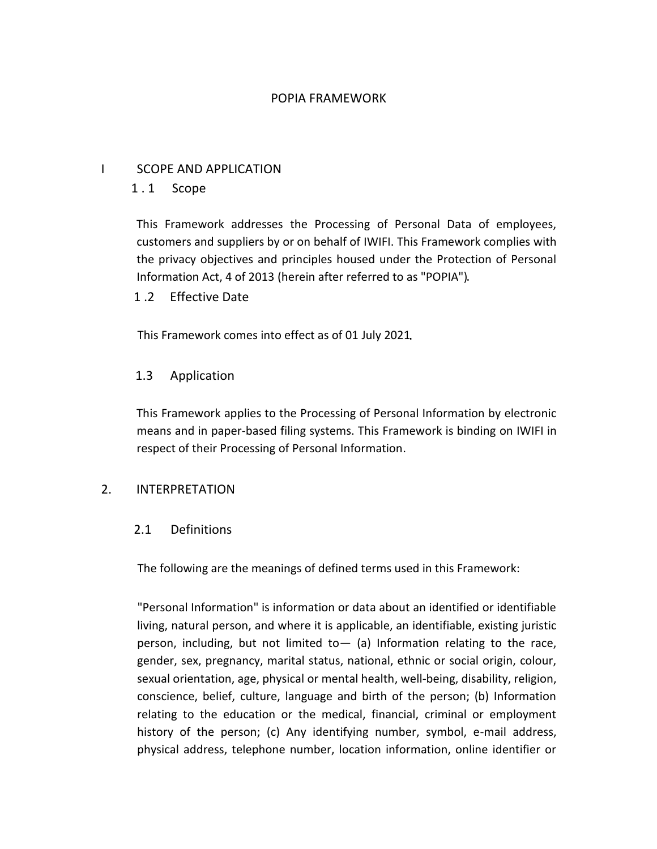## POPIA FRAMEWORK

## I SCOPE AND APPLICATION

# 1 . 1 Scope

This Framework addresses the Processing of Personal Data of employees, customers and suppliers by or on behalf of IWIFI. This Framework complies with the privacy objectives and principles housed under the Protection of Personal Information Act, 4 of 2013 (herein after referred to as "POPIA")

## 1 .2 Effective Date

This Framework comes into effect as of 01 July 2021

## 1.3 Application

This Framework applies to the Processing of Personal Information by electronic means and in paper-based filing systems. This Framework is binding on IWIFI in respect of their Processing of Personal Information.

## 2. INTERPRETATION

## 2.1 Definitions

The following are the meanings of defined terms used in this Framework:

"Personal Information" is information or data about an identified or identifiable living, natural person, and where it is applicable, an identifiable, existing juristic person, including, but not limited to  $-$  (a) Information relating to the race, gender, sex, pregnancy, marital status, national, ethnic or social origin, colour, sexual orientation, age, physical or mental health, well-being, disability, religion, conscience, belief, culture, language and birth of the person; (b) Information relating to the education or the medical, financial, criminal or employment history of the person; (c) Any identifying number, symbol, e-mail address, physical address, telephone number, location information, online identifier or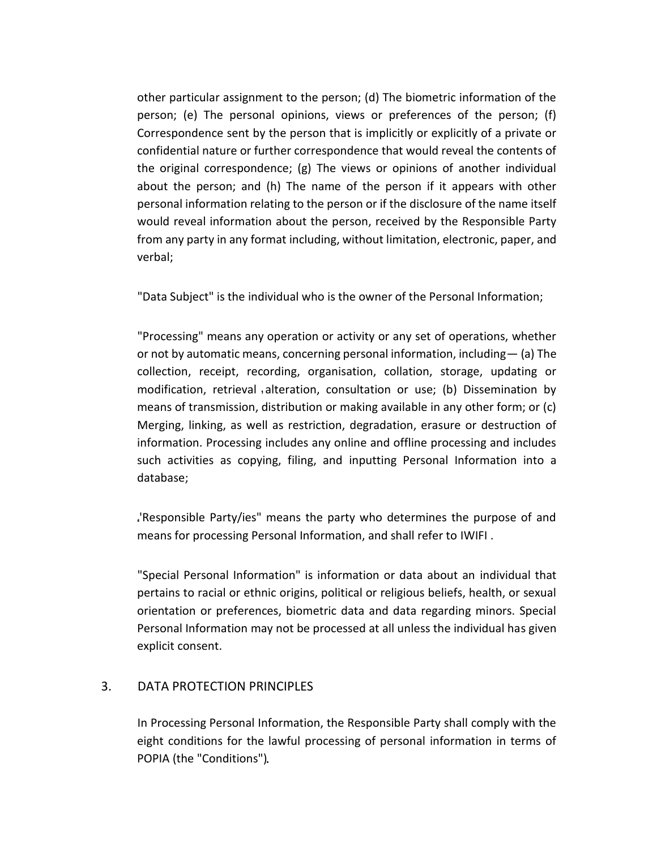other particular assignment to the person; (d) The biometric information of the person; (e) The personal opinions, views or preferences of the person; (f) Correspondence sent by the person that is implicitly or explicitly of a private or confidential nature or further correspondence that would reveal the contents of the original correspondence; (g) The views or opinions of another individual about the person; and (h) The name of the person if it appears with other personal information relating to the person or if the disclosure of the name itself would reveal information about the person, received by the Responsible Party from any party in any format including, without limitation, electronic, paper, and verbal;

"Data Subject" is the individual who is the owner of the Personal Information;

"Processing" means any operation or activity or any set of operations, whether or not by automatic means, concerning personal information, including— (a) The collection, receipt, recording, organisation, collation, storage, updating or modification, retrieval alteration, consultation or use; (b) Dissemination by means of transmission, distribution or making available in any other form; or (c) Merging, linking, as well as restriction, degradation, erasure or destruction of information. Processing includes any online and offline processing and includes such activities as copying, filing, and inputting Personal Information into a database;

'Responsible Party/ies" means the party who determines the purpose of and means for processing Personal Information, and shall refer to IWIFI .

"Special Personal Information" is information or data about an individual that pertains to racial or ethnic origins, political or religious beliefs, health, or sexual orientation or preferences, biometric data and data regarding minors. Special Personal Information may not be processed at all unless the individual has given explicit consent.

## 3. DATA PROTECTION PRINCIPLES

In Processing Personal Information, the Responsible Party shall comply with the eight conditions for the lawful processing of personal information in terms of POPIA (the "Conditions")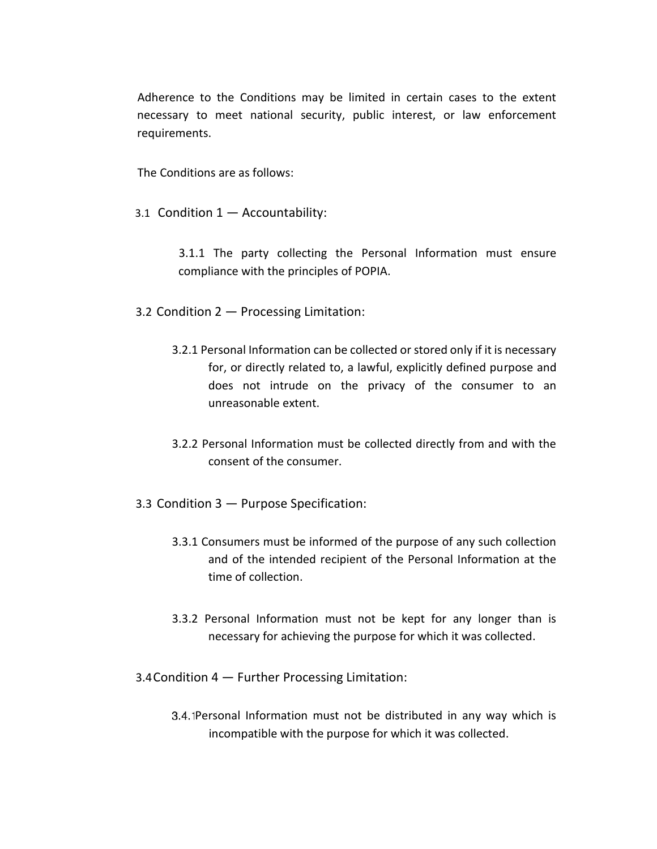Adherence to the Conditions may be limited in certain cases to the extent necessary to meet national security, public interest, or law enforcement requirements.

The Conditions are as follows:

3.1 Condition 1 — Accountability:

3.1.1 The party collecting the Personal Information must ensure compliance with the principles of POPIA.

- 3.2 Condition 2 Processing Limitation:
	- 3.2.1 Personal Information can be collected or stored only if it is necessary for, or directly related to, a lawful, explicitly defined purpose and does not intrude on the privacy of the consumer to an unreasonable extent.
	- 3.2.2 Personal Information must be collected directly from and with the consent of the consumer.
- 3.3 Condition 3 Purpose Specification:
	- 3.3.1 Consumers must be informed of the purpose of any such collection and of the intended recipient of the Personal Information at the time of collection.
	- 3.3.2 Personal Information must not be kept for any longer than is necessary for achieving the purpose for which it was collected.
- 3.4Condition 4 Further Processing Limitation:
	- 3.4. IPersonal Information must not be distributed in any way which is incompatible with the purpose for which it was collected.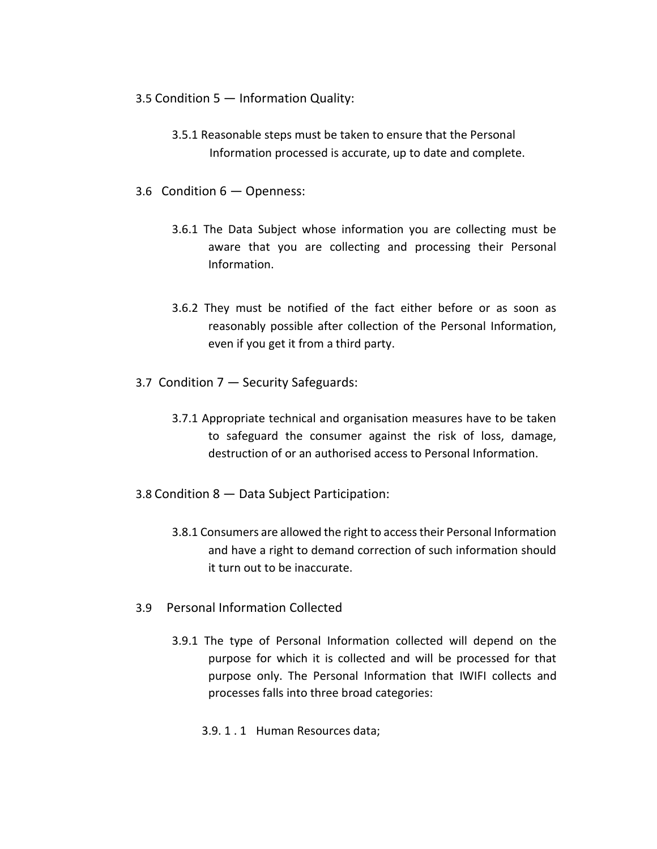- 3.5 Condition 5 Information Quality:
	- 3.5.1 Reasonable steps must be taken to ensure that the Personal Information processed is accurate, up to date and complete.
- 3.6 Condition 6 Openness:
	- 3.6.1 The Data Subject whose information you are collecting must be aware that you are collecting and processing their Personal Information.
	- 3.6.2 They must be notified of the fact either before or as soon as reasonably possible after collection of the Personal Information, even if you get it from a third party.
- 3.7 Condition 7 Security Safeguards:
	- 3.7.1 Appropriate technical and organisation measures have to be taken to safeguard the consumer against the risk of loss, damage, destruction of or an authorised access to Personal Information.
- 3.8 Condition 8 Data Subject Participation:
	- 3.8.1 Consumers are allowed the right to access their Personal Information and have a right to demand correction of such information should it turn out to be inaccurate.
- 3.9 Personal Information Collected
	- 3.9.1 The type of Personal Information collected will depend on the purpose for which it is collected and will be processed for that purpose only. The Personal Information that IWIFI collects and processes falls into three broad categories:
		- 3.9. 1 . 1 Human Resources data;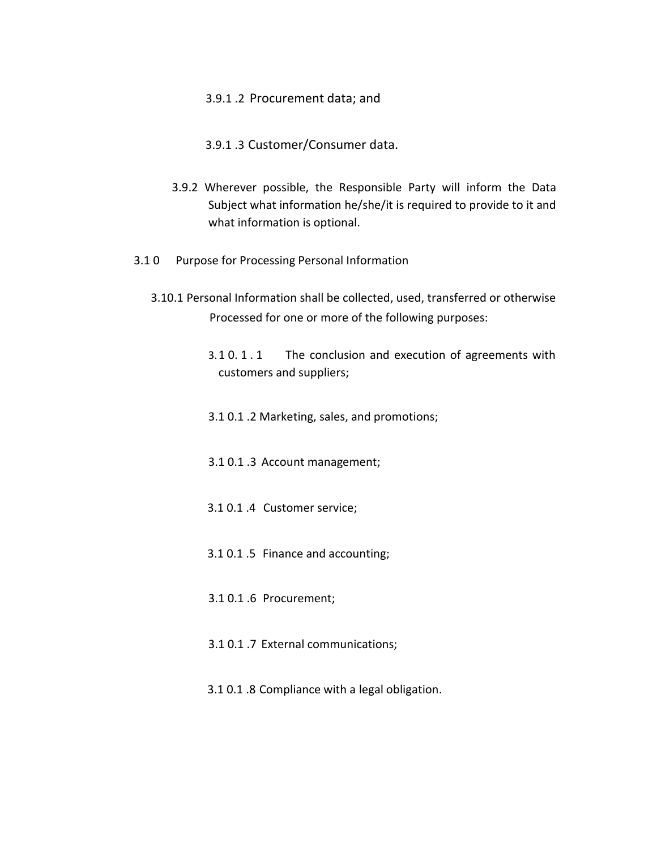### 3.9.1 .2 Procurement data; and

- 3.9.1 .3 Customer/Consumer data.
- 3.9.2 Wherever possible, the Responsible Party will inform the Data Subject what information he/she/it is required to provide to it and what information is optional.
- 3.1 0 Purpose for Processing Personal Information
	- 3.10.1 Personal Information shall be collected, used, transferred or otherwise Processed for one or more of the following purposes:
		- 3.1 0. 1 . 1 The conclusion and execution of agreements with customers and suppliers;
		- 3.1 0.1 .2 Marketing, sales, and promotions;
		- 3.1 0.1 .3 Account management;
		- 3.1 0.1 .4 Customer service;
		- 3.1 0.1 .5 Finance and accounting;
		- 3.1 0.1 .6 Procurement;
		- 3.1 0.1 .7 External communications;
		- 3.1 0.1 .8 Compliance with a legal obligation.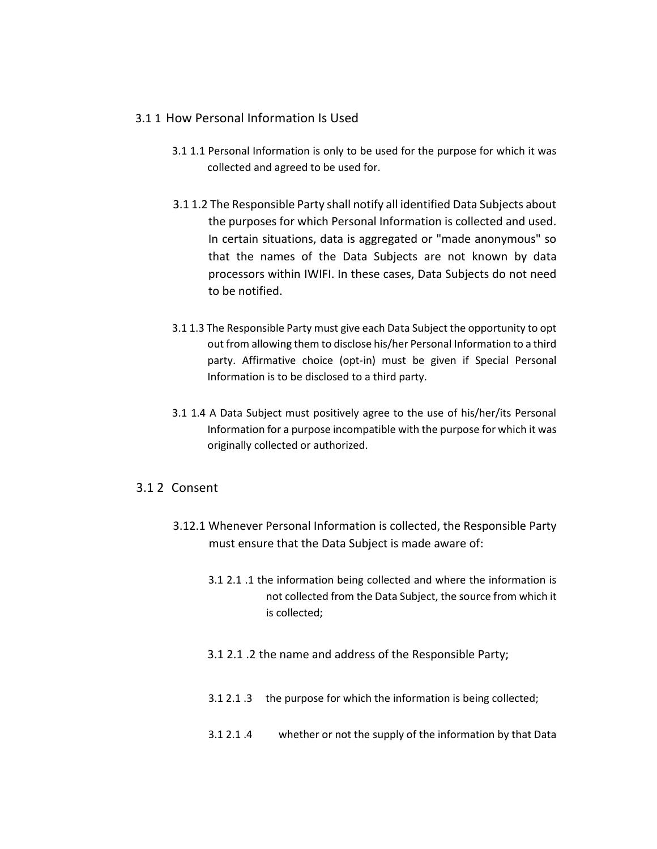### 3.1 1 How Personal Information Is Used

- 3.1 1.1 Personal Information is only to be used for the purpose for which it was collected and agreed to be used for.
- 3.1 1.2 The Responsible Party shall notify all identified Data Subjects about the purposes for which Personal Information is collected and used. In certain situations, data is aggregated or "made anonymous" so that the names of the Data Subjects are not known by data processors within IWIFI. In these cases, Data Subjects do not need to be notified.
- 3.1 1.3 The Responsible Party must give each Data Subject the opportunity to opt out from allowing them to disclose his/her Personal Information to a third party. Affirmative choice (opt-in) must be given if Special Personal Information is to be disclosed to a third party.
- 3.1 1.4 A Data Subject must positively agree to the use of his/her/its Personal Information for a purpose incompatible with the purpose for which it was originally collected or authorized.

## 3.1 2 Consent

- 3.12.1 Whenever Personal Information is collected, the Responsible Party must ensure that the Data Subject is made aware of:
	- 3.1 2.1 .1 the information being collected and where the information is not collected from the Data Subject, the source from which it is collected;
	- 3.1 2.1 .2 the name and address of the Responsible Party;
	- 3.1 2.1 .3 the purpose for which the information is being collected;
	- 3.1 2.1 .4 whether or not the supply of the information by that Data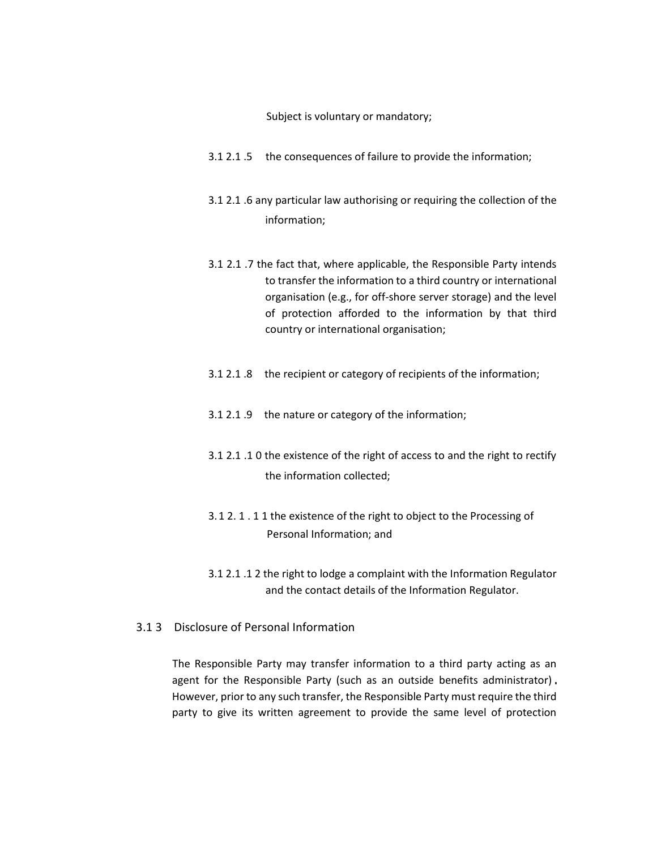Subject is voluntary or mandatory;

- 3.1 2.1 .5 the consequences of failure to provide the information;
- 3.1 2.1 .6 any particular law authorising or requiring the collection of the information;
- 3.1 2.1 .7 the fact that, where applicable, the Responsible Party intends to transfer the information to a third country or international organisation (e.g., for off-shore server storage) and the level of protection afforded to the information by that third country or international organisation;
- 3.1 2.1 .8 the recipient or category of recipients of the information;
- 3.1 2.1 .9 the nature or category of the information;
- 3.1 2.1 .1 0 the existence of the right of access to and the right to rectify the information collected;
- 3.1 2. 1 . 1 1 the existence of the right to object to the Processing of Personal Information; and
- 3.1 2.1 .1 2 the right to lodge a complaint with the Information Regulator and the contact details of the Information Regulator.
- 3.1 3 Disclosure of Personal Information

The Responsible Party may transfer information to a third party acting as an agent for the Responsible Party (such as an outside benefits administrator). However, prior to any such transfer, the Responsible Party must require the third party to give its written agreement to provide the same level of protection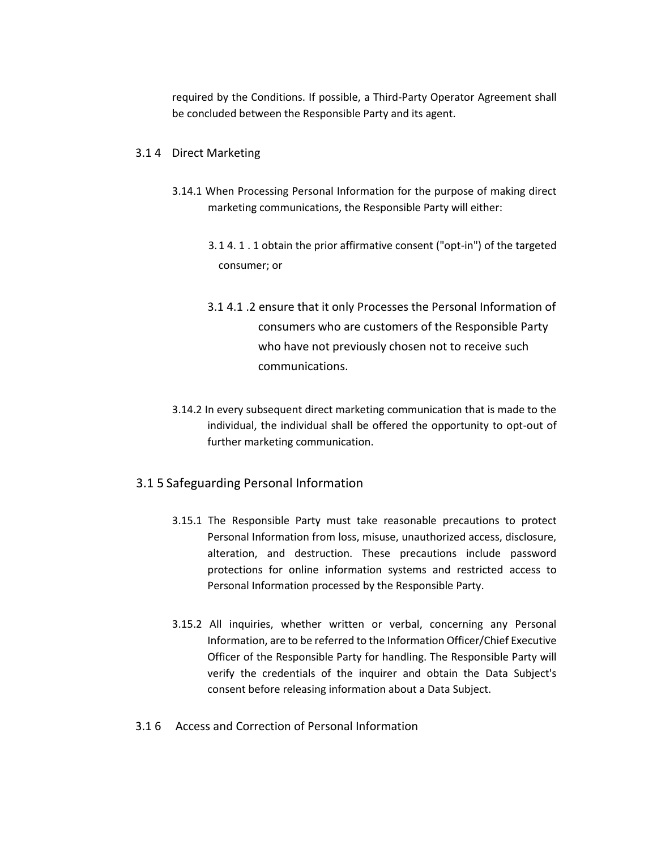required by the Conditions. If possible, a Third-Party Operator Agreement shall be concluded between the Responsible Party and its agent.

#### 3.1 4 Direct Marketing

- 3.14.1 When Processing Personal Information for the purpose of making direct marketing communications, the Responsible Party will either:
	- 3.1 4. 1 . 1 obtain the prior affirmative consent ("opt-in") of the targeted consumer; or
	- 3.1 4.1 .2 ensure that it only Processes the Personal Information of consumers who are customers of the Responsible Party who have not previously chosen not to receive such communications.
- 3.14.2 In every subsequent direct marketing communication that is made to the individual, the individual shall be offered the opportunity to opt-out of further marketing communication.

## 3.1 5 Safeguarding Personal Information

- 3.15.1 The Responsible Party must take reasonable precautions to protect Personal Information from loss, misuse, unauthorized access, disclosure, alteration, and destruction. These precautions include password protections for online information systems and restricted access to Personal Information processed by the Responsible Party.
- 3.15.2 All inquiries, whether written or verbal, concerning any Personal Information, are to be referred to the Information Officer/Chief Executive Officer of the Responsible Party for handling. The Responsible Party will verify the credentials of the inquirer and obtain the Data Subject's consent before releasing information about a Data Subject.
- 3.1 6 Access and Correction of Personal Information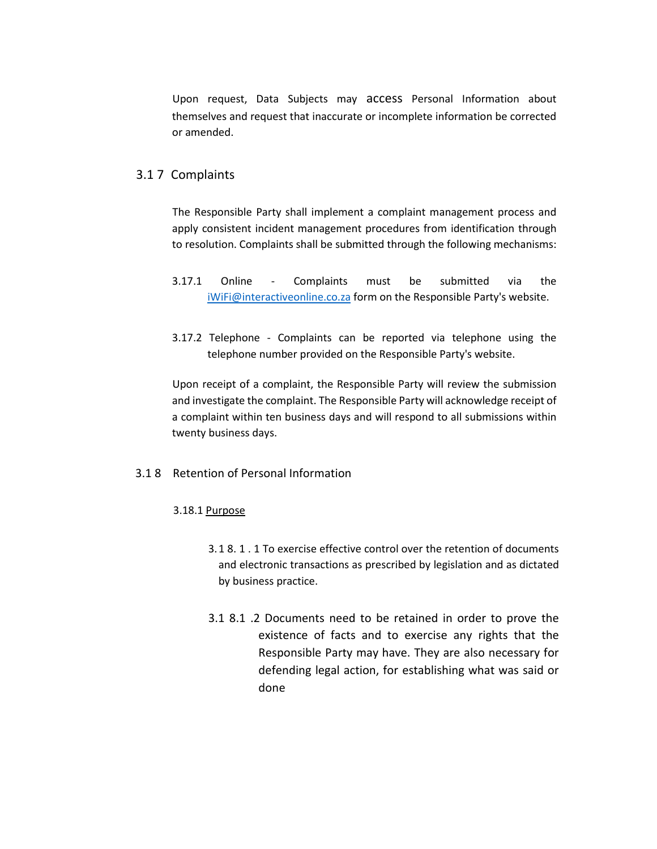Upon request, Data Subjects may access Personal Information about themselves and request that inaccurate or incomplete information be corrected or amended.

### 3.1 7 Complaints

The Responsible Party shall implement a complaint management process and apply consistent incident management procedures from identification through to resolution. Complaints shall be submitted through the following mechanisms:

- 3.17.1 Online Complaints must be submitted via the [iWiFi@interactiveonline.co.za](mailto:iwifi@interactiveonline.co.za) form on the Responsible Party's website.
- 3.17.2 Telephone Complaints can be reported via telephone using the telephone number provided on the Responsible Party's website.

Upon receipt of a complaint, the Responsible Party will review the submission and investigate the complaint. The Responsible Party will acknowledge receipt of a complaint within ten business days and will respond to all submissions within twenty business days.

#### 3.1 8 Retention of Personal Information

#### 3.18.1 Purpose

- 3.1 8. 1 . 1 To exercise effective control over the retention of documents and electronic transactions as prescribed by legislation and as dictated by business practice.
- 3.1 8.1 .2 Documents need to be retained in order to prove the existence of facts and to exercise any rights that the Responsible Party may have. They are also necessary for defending legal action, for establishing what was said or done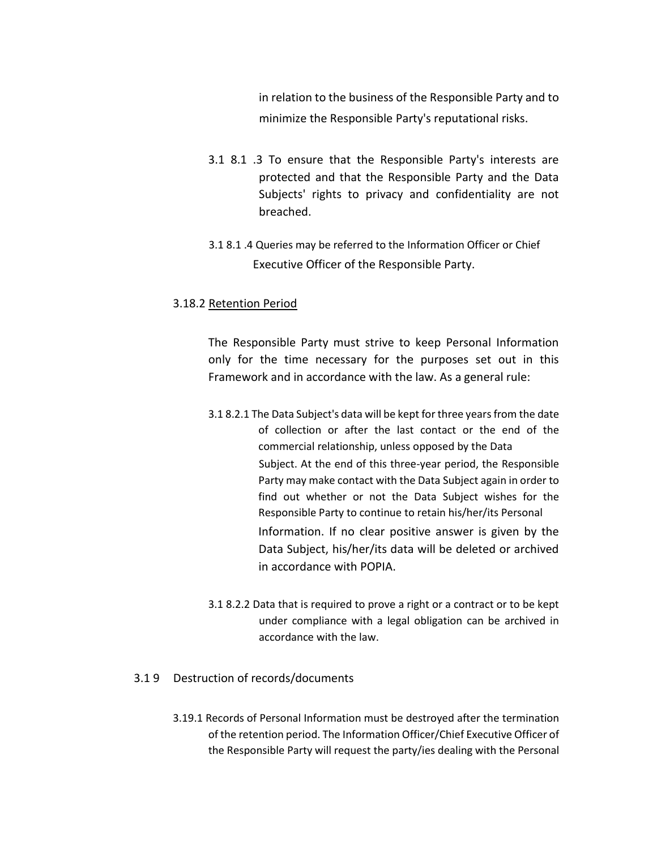in relation to the business of the Responsible Party and to minimize the Responsible Party's reputational risks.

- 3.1 8.1 .3 To ensure that the Responsible Party's interests are protected and that the Responsible Party and the Data Subjects' rights to privacy and confidentiality are not breached.
- 3.1 8.1 .4 Queries may be referred to the Information Officer or Chief Executive Officer of the Responsible Party.

### 3.18.2 Retention Period

The Responsible Party must strive to keep Personal Information only for the time necessary for the purposes set out in this Framework and in accordance with the law. As a general rule:

- 3.1 8.2.1 The Data Subject's data will be kept for three years from the date of collection or after the last contact or the end of the commercial relationship, unless opposed by the Data Subject. At the end of this three-year period, the Responsible Party may make contact with the Data Subject again in order to find out whether or not the Data Subject wishes for the Responsible Party to continue to retain his/her/its Personal Information. If no clear positive answer is given by the Data Subject, his/her/its data will be deleted or archived in accordance with POPIA.
- 3.1 8.2.2 Data that is required to prove a right or a contract or to be kept under compliance with a legal obligation can be archived in accordance with the law.

## 3.1 9 Destruction of records/documents

3.19.1 Records of Personal Information must be destroyed after the termination of the retention period. The Information Officer/Chief Executive Officer of the Responsible Party will request the party/ies dealing with the Personal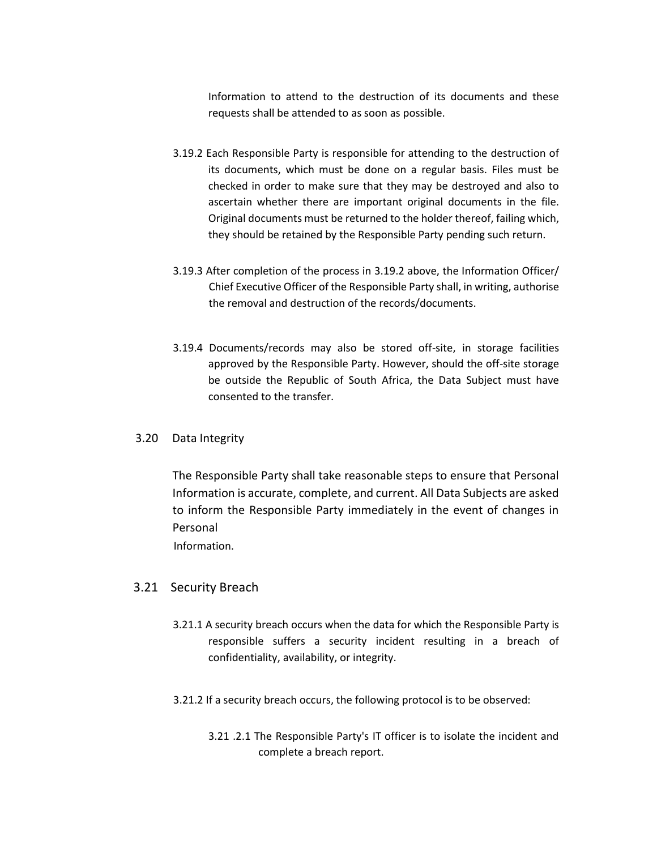Information to attend to the destruction of its documents and these requests shall be attended to as soon as possible.

- 3.19.2 Each Responsible Party is responsible for attending to the destruction of its documents, which must be done on a regular basis. Files must be checked in order to make sure that they may be destroyed and also to ascertain whether there are important original documents in the file. Original documents must be returned to the holder thereof, failing which, they should be retained by the Responsible Party pending such return.
- 3.19.3 After completion of the process in 3.19.2 above, the Information Officer/ Chief Executive Officer of the Responsible Party shall, in writing, authorise the removal and destruction of the records/documents.
- 3.19.4 Documents/records may also be stored off-site, in storage facilities approved by the Responsible Party. However, should the off-site storage be outside the Republic of South Africa, the Data Subject must have consented to the transfer.

### 3.20 Data Integrity

The Responsible Party shall take reasonable steps to ensure that Personal Information is accurate, complete, and current. All Data Subjects are asked to inform the Responsible Party immediately in the event of changes in Personal

Information.

### 3.21 Security Breach

- 3.21.1 A security breach occurs when the data for which the Responsible Party is responsible suffers a security incident resulting in a breach of confidentiality, availability, or integrity.
- 3.21.2 If a security breach occurs, the following protocol is to be observed:
	- 3.21 .2.1 The Responsible Party's IT officer is to isolate the incident and complete a breach report.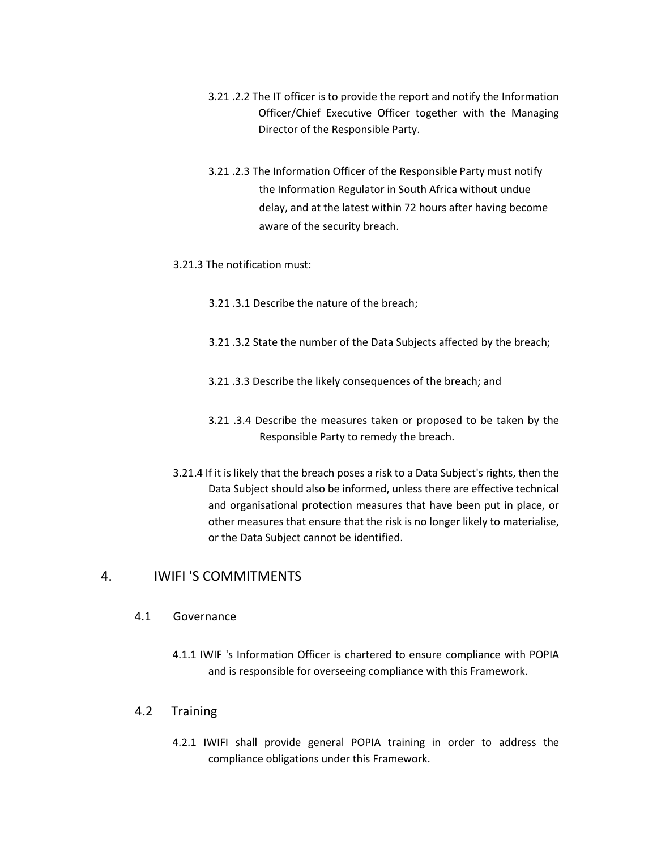- 3.21 .2.2 The IT officer is to provide the report and notify the Information Officer/Chief Executive Officer together with the Managing Director of the Responsible Party.
- 3.21 .2.3 The Information Officer of the Responsible Party must notify the Information Regulator in South Africa without undue delay, and at the latest within 72 hours after having become aware of the security breach.
- 3.21.3 The notification must:
	- 3.21 .3.1 Describe the nature of the breach;
	- 3.21 .3.2 State the number of the Data Subjects affected by the breach;
	- 3.21 .3.3 Describe the likely consequences of the breach; and
	- 3.21 .3.4 Describe the measures taken or proposed to be taken by the Responsible Party to remedy the breach.
- 3.21.4 If it is likely that the breach poses a risk to a Data Subject's rights, then the Data Subject should also be informed, unless there are effective technical and organisational protection measures that have been put in place, or other measures that ensure that the risk is no longer likely to materialise, or the Data Subject cannot be identified.

# 4. IWIFI 'S COMMITMENTS

- 4.1 Governance
	- 4.1.1 IWIF 's Information Officer is chartered to ensure compliance with POPIA and is responsible for overseeing compliance with this Framework.
- 4.2 Training
	- 4.2.1 IWIFI shall provide general POPIA training in order to address the compliance obligations under this Framework.